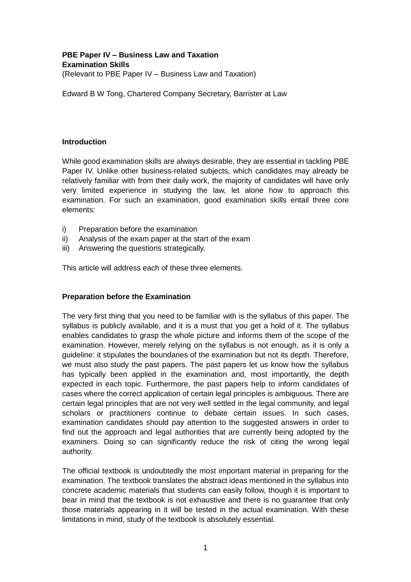# **PBE Paper IV – Business Law and Taxation Examination Skills**

(Relevant to PBE Paper IV – Business Law and Taxation)

Edward B W Tong, Chartered Company Secretary, Barrister at Law

#### **Introduction**

While good examination skills are always desirable, they are essential in tackling PBE Paper IV. Unlike other business-related subjects, which candidates may already be relatively familiar with from their daily work, the majority of candidates will have only very limited experience in studying the law, let alone how to approach this examination. For such an examination, good examination skills entail three core elements:

- i) Preparation before the examination
- ii) Analysis of the exam paper at the start of the exam
- iii) Answering the questions strategically.

This article will address each of these three elements.

#### **Preparation before the Examination**

The very first thing that you need to be familiar with is the syllabus of this paper. The syllabus is publicly available, and it is a must that you get a hold of it. The syllabus enables candidates to grasp the whole picture and informs them of the scope of the examination. However, merely relying on the syllabus is not enough, as it is only a guideline: it stipulates the boundaries of the examination but not its depth. Therefore, we must also study the past papers. The past papers let us know how the syllabus has typically been applied in the examination and, most importantly, the depth expected in each topic. Furthermore, the past papers help to inform candidates of cases where the correct application of certain legal principles is ambiguous. There are certain legal principles that are not very well settled in the legal community, and legal scholars or practitioners continue to debate certain issues. In such cases, examination candidates should pay attention to the suggested answers in order to find out the approach and legal authorities that are currently being adopted by the examiners. Doing so can significantly reduce the risk of citing the wrong legal authority.

The official textbook is undoubtedly the most important material in preparing for the examination. The textbook translates the abstract ideas mentioned in the syllabus into concrete academic materials that students can easily follow, though it is important to bear in mind that the textbook is not exhaustive and there is no guarantee that only those materials appearing in it will be tested in the actual examination. With these limitations in mind, study of the textbook is absolutely essential.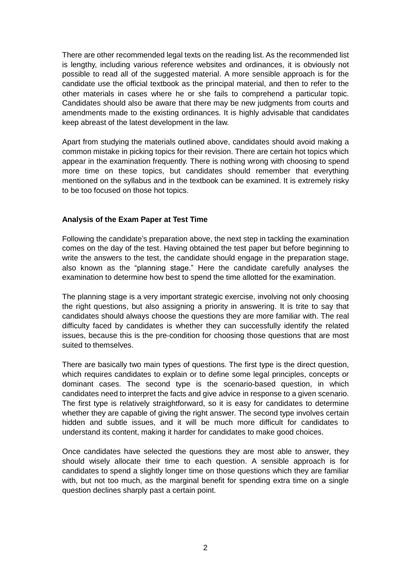There are other recommended legal texts on the reading list. As the recommended list is lengthy, including various reference websites and ordinances, it is obviously not possible to read all of the suggested material. A more sensible approach is for the candidate use the official textbook as the principal material, and then to refer to the other materials in cases where he or she fails to comprehend a particular topic. Candidates should also be aware that there may be new judgments from courts and amendments made to the existing ordinances. It is highly advisable that candidates keep abreast of the latest development in the law.

Apart from studying the materials outlined above, candidates should avoid making a common mistake in picking topics for their revision. There are certain hot topics which appear in the examination frequently. There is nothing wrong with choosing to spend more time on these topics, but candidates should remember that everything mentioned on the syllabus and in the textbook can be examined. It is extremely risky to be too focused on those hot topics.

#### **Analysis of the Exam Paper at Test Time**

Following the candidate's preparation above, the next step in tackling the examination comes on the day of the test. Having obtained the test paper but before beginning to write the answers to the test, the candidate should engage in the preparation stage, also known as the "planning stage." Here the candidate carefully analyses the examination to determine how best to spend the time allotted for the examination.

The planning stage is a very important strategic exercise, involving not only choosing the right questions, but also assigning a priority in answering. It is trite to say that candidates should always choose the questions they are more familiar with. The real difficulty faced by candidates is whether they can successfully identify the related issues, because this is the pre-condition for choosing those questions that are most suited to themselves.

There are basically two main types of questions. The first type is the direct question, which requires candidates to explain or to define some legal principles, concepts or dominant cases. The second type is the scenario-based question, in which candidates need to interpret the facts and give advice in response to a given scenario. The first type is relatively straightforward, so it is easy for candidates to determine whether they are capable of giving the right answer. The second type involves certain hidden and subtle issues, and it will be much more difficult for candidates to understand its content, making it harder for candidates to make good choices.

Once candidates have selected the questions they are most able to answer, they should wisely allocate their time to each question. A sensible approach is for candidates to spend a slightly longer time on those questions which they are familiar with, but not too much, as the marginal benefit for spending extra time on a single question declines sharply past a certain point.